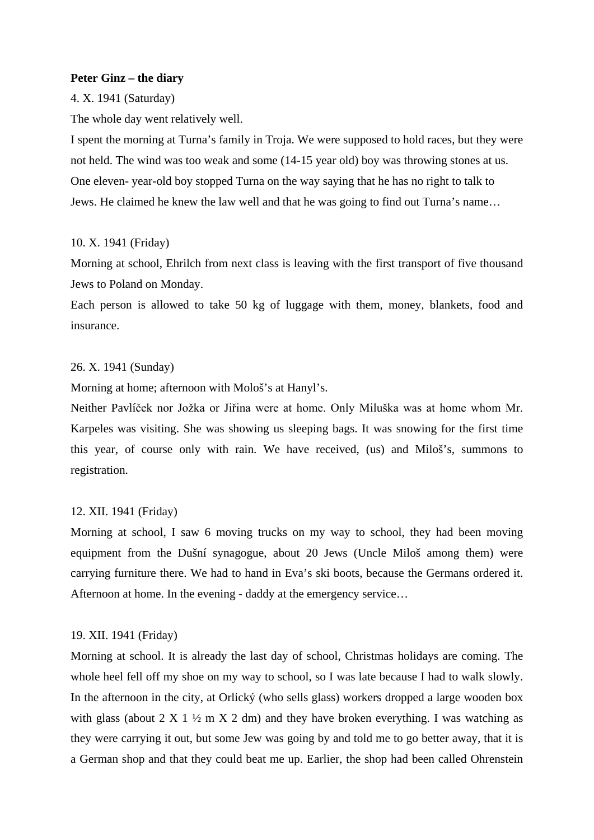## **Peter Ginz – the diary**

# 4. X. 1941 (Saturday)

The whole day went relatively well.

I spent the morning at Turna's family in Troja. We were supposed to hold races, but they were not held. The wind was too weak and some (14-15 year old) boy was throwing stones at us. One eleven- year-old boy stopped Turna on the way saying that he has no right to talk to Jews. He claimed he knew the law well and that he was going to find out Turna's name…

# 10. X. 1941 (Friday)

Morning at school, Ehrilch from next class is leaving with the first transport of five thousand Jews to Poland on Monday.

Each person is allowed to take 50 kg of luggage with them, money, blankets, food and insurance.

# 26. X. 1941 (Sunday)

Morning at home; afternoon with Mološ's at Hanyl's.

Neither Pavlíček nor Jožka or Jiřina were at home. Only Miluška was at home whom Mr. Karpeles was visiting. She was showing us sleeping bags. It was snowing for the first time this year, of course only with rain. We have received, (us) and Miloš's, summons to registration.

# 12. XII. 1941 (Friday)

Morning at school, I saw 6 moving trucks on my way to school, they had been moving equipment from the Dušní synagogue, about 20 Jews (Uncle Miloš among them) were carrying furniture there. We had to hand in Eva's ski boots, because the Germans ordered it. Afternoon at home. In the evening - daddy at the emergency service…

## 19. XII. 1941 (Friday)

Morning at school. It is already the last day of school, Christmas holidays are coming. The whole heel fell off my shoe on my way to school, so I was late because I had to walk slowly. In the afternoon in the city, at Orlický (who sells glass) workers dropped a large wooden box with glass (about  $2 \times 1 \frac{1}{2}$  m  $\frac{1}{2}$  dm) and they have broken everything. I was watching as they were carrying it out, but some Jew was going by and told me to go better away, that it is a German shop and that they could beat me up. Earlier, the shop had been called Ohrenstein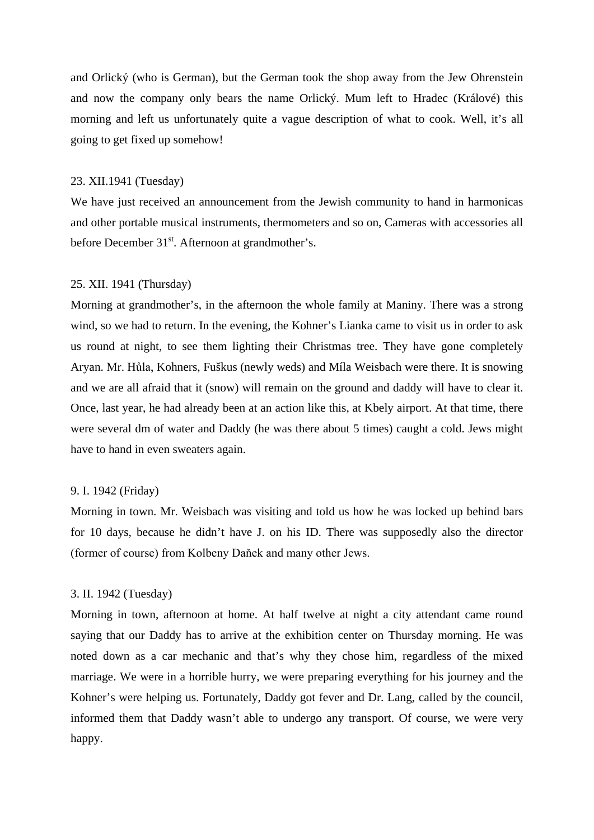and Orlický (who is German), but the German took the shop away from the Jew Ohrenstein and now the company only bears the name Orlický. Mum left to Hradec (Králové) this morning and left us unfortunately quite a vague description of what to cook. Well, it's all going to get fixed up somehow!

# 23. XII.1941 (Tuesday)

We have just received an announcement from the Jewish community to hand in harmonicas and other portable musical instruments, thermometers and so on, Cameras with accessories all before December 31<sup>st</sup>. Afternoon at grandmother's.

## 25. XII. 1941 (Thursday)

Morning at grandmother's, in the afternoon the whole family at Maniny. There was a strong wind, so we had to return. In the evening, the Kohner's Lianka came to visit us in order to ask us round at night, to see them lighting their Christmas tree. They have gone completely Aryan. Mr. Hůla, Kohners, Fuškus (newly weds) and Míla Weisbach were there. It is snowing and we are all afraid that it (snow) will remain on the ground and daddy will have to clear it. Once, last year, he had already been at an action like this, at Kbely airport. At that time, there were several dm of water and Daddy (he was there about 5 times) caught a cold. Jews might have to hand in even sweaters again.

#### 9. I. 1942 (Friday)

Morning in town. Mr. Weisbach was visiting and told us how he was locked up behind bars for 10 days, because he didn't have J. on his ID. There was supposedly also the director (former of course) from Kolbeny Daňek and many other Jews.

#### 3. II. 1942 (Tuesday)

Morning in town, afternoon at home. At half twelve at night a city attendant came round saying that our Daddy has to arrive at the exhibition center on Thursday morning. He was noted down as a car mechanic and that's why they chose him, regardless of the mixed marriage. We were in a horrible hurry, we were preparing everything for his journey and the Kohner's were helping us. Fortunately, Daddy got fever and Dr. Lang, called by the council, informed them that Daddy wasn't able to undergo any transport. Of course, we were very happy.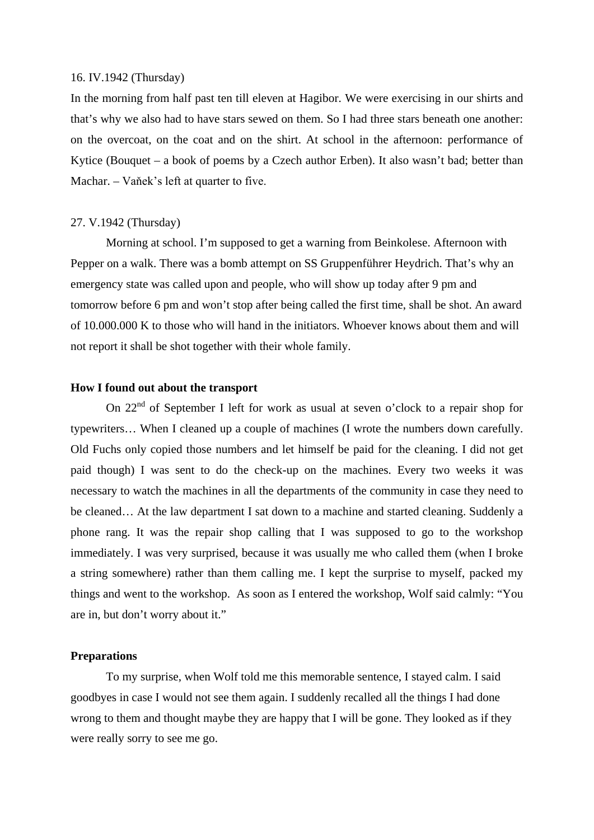## 16. IV.1942 (Thursday)

In the morning from half past ten till eleven at Hagibor. We were exercising in our shirts and that's why we also had to have stars sewed on them. So I had three stars beneath one another: on the overcoat, on the coat and on the shirt. At school in the afternoon: performance of Kytice (Bouquet – a book of poems by a Czech author Erben). It also wasn't bad; better than Machar. – Vaňek's left at quarter to five.

## 27. V.1942 (Thursday)

Morning at school. I'm supposed to get a warning from Beinkolese. Afternoon with Pepper on a walk. There was a bomb attempt on SS Gruppenführer Heydrich. That's why an emergency state was called upon and people, who will show up today after 9 pm and tomorrow before 6 pm and won't stop after being called the first time, shall be shot. An award of 10.000.000 K to those who will hand in the initiators. Whoever knows about them and will not report it shall be shot together with their whole family.

# **How I found out about the transport**

On 22<sup>nd</sup> of September I left for work as usual at seven o'clock to a repair shop for typewriters… When I cleaned up a couple of machines (I wrote the numbers down carefully. Old Fuchs only copied those numbers and let himself be paid for the cleaning. I did not get paid though) I was sent to do the check-up on the machines. Every two weeks it was necessary to watch the machines in all the departments of the community in case they need to be cleaned… At the law department I sat down to a machine and started cleaning. Suddenly a phone rang. It was the repair shop calling that I was supposed to go to the workshop immediately. I was very surprised, because it was usually me who called them (when I broke a string somewhere) rather than them calling me. I kept the surprise to myself, packed my things and went to the workshop. As soon as I entered the workshop, Wolf said calmly: "You are in, but don't worry about it."

## **Preparations**

To my surprise, when Wolf told me this memorable sentence, I stayed calm. I said goodbyes in case I would not see them again. I suddenly recalled all the things I had done wrong to them and thought maybe they are happy that I will be gone. They looked as if they were really sorry to see me go.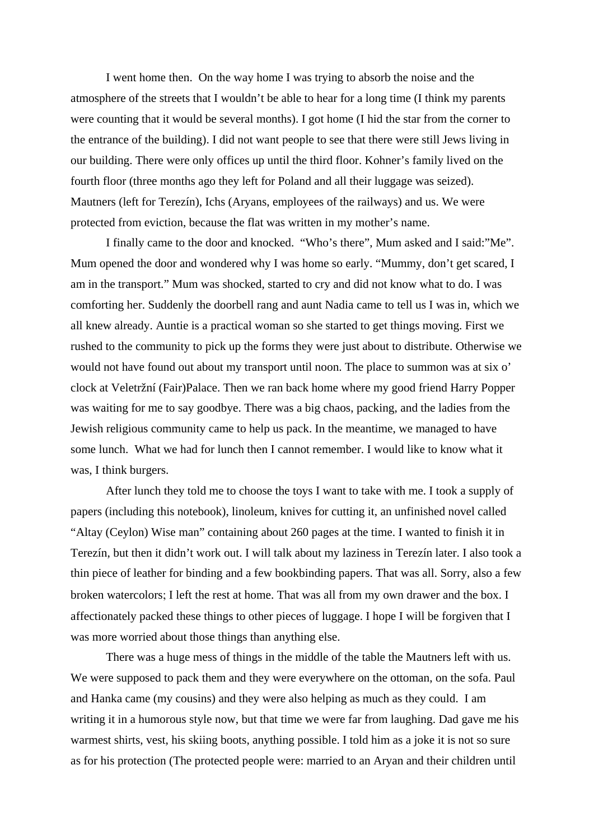I went home then. On the way home I was trying to absorb the noise and the atmosphere of the streets that I wouldn't be able to hear for a long time (I think my parents were counting that it would be several months). I got home (I hid the star from the corner to the entrance of the building). I did not want people to see that there were still Jews living in our building. There were only offices up until the third floor. Kohner's family lived on the fourth floor (three months ago they left for Poland and all their luggage was seized). Mautners (left for Terezín), Ichs (Aryans, employees of the railways) and us. We were protected from eviction, because the flat was written in my mother's name.

I finally came to the door and knocked. "Who's there", Mum asked and I said:"Me". Mum opened the door and wondered why I was home so early. "Mummy, don't get scared, I am in the transport." Mum was shocked, started to cry and did not know what to do. I was comforting her. Suddenly the doorbell rang and aunt Nadia came to tell us I was in, which we all knew already. Auntie is a practical woman so she started to get things moving. First we rushed to the community to pick up the forms they were just about to distribute. Otherwise we would not have found out about my transport until noon. The place to summon was at six o' clock at Veletržní (Fair)Palace. Then we ran back home where my good friend Harry Popper was waiting for me to say goodbye. There was a big chaos, packing, and the ladies from the Jewish religious community came to help us pack. In the meantime, we managed to have some lunch. What we had for lunch then I cannot remember. I would like to know what it was, I think burgers.

After lunch they told me to choose the toys I want to take with me. I took a supply of papers (including this notebook), linoleum, knives for cutting it, an unfinished novel called "Altay (Ceylon) Wise man" containing about 260 pages at the time. I wanted to finish it in Terezín, but then it didn't work out. I will talk about my laziness in Terezín later. I also took a thin piece of leather for binding and a few bookbinding papers. That was all. Sorry, also a few broken watercolors; I left the rest at home. That was all from my own drawer and the box. I affectionately packed these things to other pieces of luggage. I hope I will be forgiven that I was more worried about those things than anything else.

There was a huge mess of things in the middle of the table the Mautners left with us. We were supposed to pack them and they were everywhere on the ottoman, on the sofa. Paul and Hanka came (my cousins) and they were also helping as much as they could. I am writing it in a humorous style now, but that time we were far from laughing. Dad gave me his warmest shirts, vest, his skiing boots, anything possible. I told him as a joke it is not so sure as for his protection (The protected people were: married to an Aryan and their children until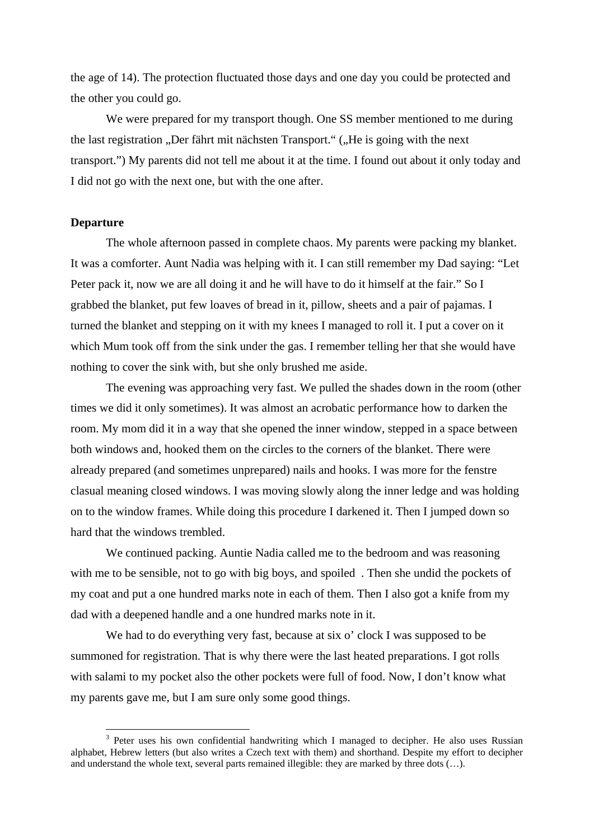the age of 14). The protection fluctuated those days and one day you could be protected and the other you could go.

We were prepared for my transport though. One SS member mentioned to me during the last registration "Der fährt mit nächsten Transport." ("He is going with the next transport.") My parents did not tell me about it at the time. I found out about it only today and I did not go with the next one, but with the one after.

### **Departure**

The whole afternoon passed in complete chaos. My parents were packing my blanket. It was a comforter. Aunt Nadia was helping with it. I can still remember my Dad saying: "Let Peter pack it, now we are all doing it and he will have to do it himself at the fair." So I grabbed the blanket, put few loaves of bread in it, pillow, sheets and a pair of pajamas. I turned the blanket and stepping on it with my knees I managed to roll it. I put a cover on it which Mum took off from the sink under the gas. I remember telling her that she would have nothing to cover the sink with, but she only brushed me aside.

The evening was approaching very fast. We pulled the shades down in the room (other times we did it only sometimes). It was almost an acrobatic performance how to darken the room. My mom did it in a way that she opened the inner window, stepped in a space between both windows and, hooked them on the circles to the corners of the blanket. There were already prepared (and sometimes unprepared) nails and hooks. I was more for the fenstre clasual meaning closed windows. I was moving slowly along the inner ledge and was holding on to the window frames. While doing this procedure I darkened it. Then I jumped down so hard that the windows trembled.

We continued packing. Auntie Nadia called me to the bedroom and was reasoning with me to be sensible, not to go with big boys, and spoiled [.](#page-4-0) Then she undid the pockets of my coat and put a one hundred marks note in each of them. Then I also got a knife from my dad with a deepened handle and a one hundred marks note in it.

We had to do everything very fast, because at six o' clock I was supposed to be summoned for registration. That is why there were the last heated preparations. I got rolls with salami to my pocket also the other pockets were full of food. Now, I don't know what my parents gave me, but I am sure only some good things.

<span id="page-4-0"></span><sup>&</sup>lt;sup>3</sup> Peter uses his own confidential handwriting which I managed to decipher. He also uses Russian alphabet, Hebrew letters (but also writes a Czech text with them) and shorthand. Despite my effort to decipher and understand the whole text, several parts remained illegible: they are marked by three dots  $(...)$ .